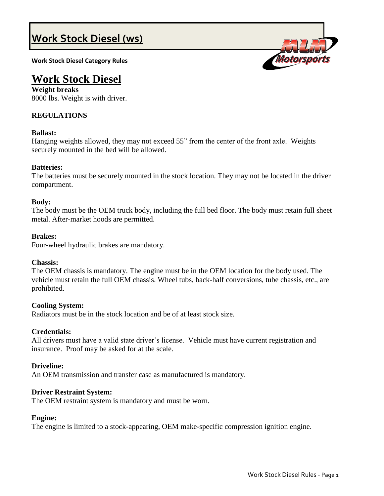# **Work Stock Diesel (ws)**

**Work Stock Diesel Category Rules**



# **Work Stock Diesel**

**Weight breaks** 8000 lbs. Weight is with driver.

# **REGULATIONS**

# **Ballast:**

Hanging weights allowed, they may not exceed 55" from the center of the front axle. Weights securely mounted in the bed will be allowed.

# **Batteries:**

The batteries must be securely mounted in the stock location. They may not be located in the driver compartment.

# **Body:**

The body must be the OEM truck body, including the full bed floor. The body must retain full sheet metal. After-market hoods are permitted.

# **Brakes:**

Four-wheel hydraulic brakes are mandatory.

# **Chassis:**

The OEM chassis is mandatory. The engine must be in the OEM location for the body used. The vehicle must retain the full OEM chassis. Wheel tubs, back-half conversions, tube chassis, etc., are prohibited.

# **Cooling System:**

Radiators must be in the stock location and be of at least stock size.

# **Credentials:**

All drivers must have a valid state driver's license. Vehicle must have current registration and insurance. Proof may be asked for at the scale.

# **Driveline:**

An OEM transmission and transfer case as manufactured is mandatory.

# **Driver Restraint System:**

The OEM restraint system is mandatory and must be worn.

# **Engine:**

The engine is limited to a stock-appearing, OEM make-specific compression ignition engine.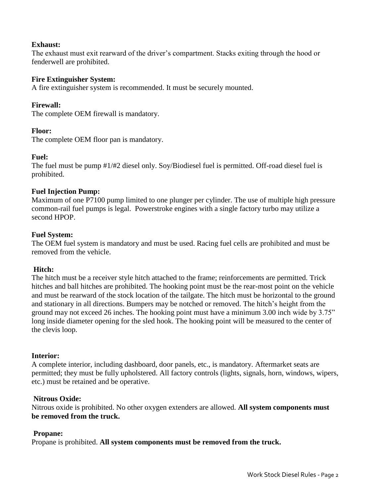# **Exhaust:**

The exhaust must exit rearward of the driver's compartment. Stacks exiting through the hood or fenderwell are prohibited.

# **Fire Extinguisher System:**

A fire extinguisher system is recommended. It must be securely mounted.

# **Firewall:**

The complete OEM firewall is mandatory.

# **Floor:**

The complete OEM floor pan is mandatory.

# **Fuel:**

The fuel must be pump #1/#2 diesel only. Soy/Biodiesel fuel is permitted. Off-road diesel fuel is prohibited.

# **Fuel Injection Pump:**

Maximum of one P7100 pump limited to one plunger per cylinder. The use of multiple high pressure common-rail fuel pumps is legal. Powerstroke engines with a single factory turbo may utilize a second HPOP.

# **Fuel System:**

The OEM fuel system is mandatory and must be used. Racing fuel cells are prohibited and must be removed from the vehicle.

# **Hitch:**

The hitch must be a receiver style hitch attached to the frame; reinforcements are permitted. Trick hitches and ball hitches are prohibited. The hooking point must be the rear-most point on the vehicle and must be rearward of the stock location of the tailgate. The hitch must be horizontal to the ground and stationary in all directions. Bumpers may be notched or removed. The hitch's height from the ground may not exceed 26 inches. The hooking point must have a minimum 3.00 inch wide by 3.75" long inside diameter opening for the sled hook. The hooking point will be measured to the center of the clevis loop.

# **Interior:**

A complete interior, including dashboard, door panels, etc., is mandatory. Aftermarket seats are permitted; they must be fully upholstered. All factory controls (lights, signals, horn, windows, wipers, etc.) must be retained and be operative.

# **Nitrous Oxide:**

Nitrous oxide is prohibited. No other oxygen extenders are allowed. **All system components must be removed from the truck.**

# **Propane:**

Propane is prohibited. **All system components must be removed from the truck.**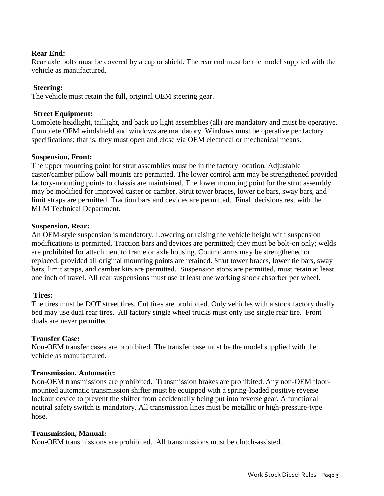# **Rear End:**

Rear axle bolts must be covered by a cap or shield. The rear end must be the model supplied with the vehicle as manufactured.

# **Steering:**

The vehicle must retain the full, original OEM steering gear.

# **Street Equipment:**

Complete headlight, taillight, and back up light assemblies (all) are mandatory and must be operative. Complete OEM windshield and windows are mandatory. Windows must be operative per factory specifications; that is, they must open and close via OEM electrical or mechanical means.

# **Suspension, Front:**

The upper mounting point for strut assemblies must be in the factory location. Adjustable caster/camber pillow ball mounts are permitted. The lower control arm may be strengthened provided factory-mounting points to chassis are maintained. The lower mounting point for the strut assembly may be modified for improved caster or camber. Strut tower braces, lower tie bars, sway bars, and limit straps are permitted. Traction bars and devices are permitted. Final decisions rest with the MLM Technical Department.

# **Suspension, Rear:**

An OEM-style suspension is mandatory. Lowering or raising the vehicle height with suspension modifications is permitted. Traction bars and devices are permitted; they must be bolt-on only; welds are prohibited for attachment to frame or axle housing. Control arms may be strengthened or replaced, provided all original mounting points are retained. Strut tower braces, lower tie bars, sway bars, limit straps, and camber kits are permitted. Suspension stops are permitted, must retain at least one inch of travel. All rear suspensions must use at least one working shock absorber per wheel.

# **Tires:**

The tires must be DOT street tires. Cut tires are prohibited. Only vehicles with a stock factory dually bed may use dual rear tires. All factory single wheel trucks must only use single rear tire. Front duals are never permitted.

# **Transfer Case:**

Non-OEM transfer cases are prohibited. The transfer case must be the model supplied with the vehicle as manufactured.

# **Transmission, Automatic:**

Non-OEM transmissions are prohibited. Transmission brakes are prohibited. Any non-OEM floormounted automatic transmission shifter must be equipped with a spring-loaded positive reverse lockout device to prevent the shifter from accidentally being put into reverse gear. A functional neutral safety switch is mandatory. All transmission lines must be metallic or high-pressure-type hose.

# **Transmission, Manual:**

Non-OEM transmissions are prohibited. All transmissions must be clutch-assisted.